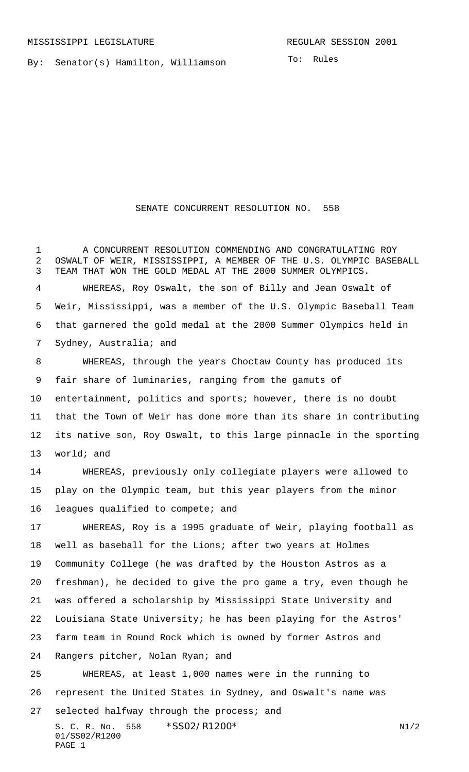By: Senator(s) Hamilton, Williamson

To: Rules

## SENATE CONCURRENT RESOLUTION NO. 558

S. C. R. No. \*SS02/R1200\* N1/2 01/SS02/R1200 PAGE 1 A CONCURRENT RESOLUTION COMMENDING AND CONGRATULATING ROY OSWALT OF WEIR, MISSISSIPPI, A MEMBER OF THE U.S. OLYMPIC BASEBALL TEAM THAT WON THE GOLD MEDAL AT THE 2000 SUMMER OLYMPICS. WHEREAS, Roy Oswalt, the son of Billy and Jean Oswalt of Weir, Mississippi, was a member of the U.S. Olympic Baseball Team that garnered the gold medal at the 2000 Summer Olympics held in Sydney, Australia; and WHEREAS, through the years Choctaw County has produced its fair share of luminaries, ranging from the gamuts of entertainment, politics and sports; however, there is no doubt that the Town of Weir has done more than its share in contributing its native son, Roy Oswalt, to this large pinnacle in the sporting world; and WHEREAS, previously only collegiate players were allowed to play on the Olympic team, but this year players from the minor leagues qualified to compete; and WHEREAS, Roy is a 1995 graduate of Weir, playing football as well as baseball for the Lions; after two years at Holmes Community College (he was drafted by the Houston Astros as a freshman), he decided to give the pro game a try, even though he was offered a scholarship by Mississippi State University and Louisiana State University; he has been playing for the Astros' farm team in Round Rock which is owned by former Astros and Rangers pitcher, Nolan Ryan; and WHEREAS, at least 1,000 names were in the running to represent the United States in Sydney, and Oswalt's name was selected halfway through the process; and